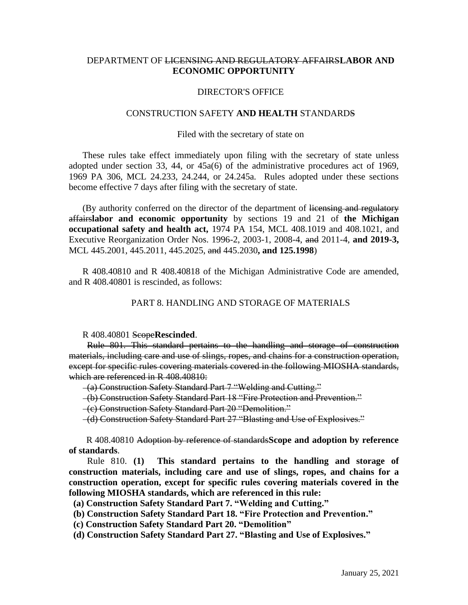# DEPARTMENT OF LICENSING AND REGULATORY AFFAIRS**LABOR AND ECONOMIC OPPORTUNITY**

## DIRECTOR'S OFFICE

### CONSTRUCTION SAFETY **AND HEALTH** STANDARDS

## Filed with the secretary of state on

These rules take effect immediately upon filing with the secretary of state unless adopted under section 33, 44, or 45a(6) of the administrative procedures act of 1969, 1969 PA 306, MCL 24.233, 24.244, or 24.245a. Rules adopted under these sections become effective 7 days after filing with the secretary of state.

(By authority conferred on the director of the department of licensing and regulatory affairs**labor and economic opportunity** by sections 19 and 21 of **the Michigan occupational safety and health act,** 1974 PA 154, MCL 408.1019 and 408.1021, and Executive Reorganization Order Nos. 1996-2, 2003-1, 2008-4, and 2011-4, **and 2019-3,**  MCL 445.2001, 445.2011, 445.2025, and 445.2030**, and 125.1998**)

R 408.40810 and R 408.40818 of the Michigan Administrative Code are amended, and R 408.40801 is rescinded, as follows:

## PART 8. HANDLING AND STORAGE OF MATERIALS

R 408.40801 Scope**Rescinded**.

 Rule 801. This standard pertains to the handling and storage of construction materials, including care and use of slings, ropes, and chains for a construction operation, except for specific rules covering materials covered in the following MIOSHA standards, which are referenced in R 408.40810:

(a) Construction Safety Standard Part 7 "Welding and Cutting."

(b) Construction Safety Standard Part 18 "Fire Protection and Prevention."

(c) Construction Safety Standard Part 20 "Demolition."

(d) Construction Safety Standard Part 27 "Blasting and Use of Explosives."

 R 408.40810 Adoption by reference of standards**Scope and adoption by reference of standards**.

Rule 810. **(1) This standard pertains to the handling and storage of construction materials, including care and use of slings, ropes, and chains for a construction operation, except for specific rules covering materials covered in the following MIOSHA standards, which are referenced in this rule:**

**(a) Construction Safety Standard Part 7. "Welding and Cutting."**

 **(b) Construction Safety Standard Part 18. "Fire Protection and Prevention."**

 **(c) Construction Safety Standard Part 20. "Demolition"** 

 **(d) Construction Safety Standard Part 27. "Blasting and Use of Explosives."**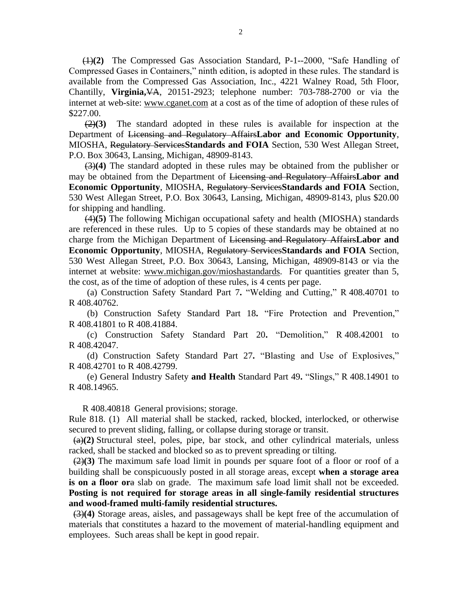(1)**(2)** The Compressed Gas Association Standard, P-1--2000, "Safe Handling of Compressed Gases in Containers," ninth edition, is adopted in these rules. The standard is available from the Compressed Gas Association, Inc., 4221 Walney Road, 5th Floor, Chantilly, **Virginia,**VA, 20151-2923; telephone number: 703-788-2700 or via the internet at web-site: [www.cganet.com](http://www.cganet.com/) at a cost as of the time of adoption of these rules of \$227.00.

(2)**(3)** The standard adopted in these rules is available for inspection at the Department of Licensing and Regulatory Affairs**Labor and Economic Opportunity**, MIOSHA, Regulatory Services**Standards and FOIA** Section, 530 West Allegan Street, P.O. Box 30643, Lansing, Michigan, 48909-8143.

(3)**(4)** The standard adopted in these rules may be obtained from the publisher or may be obtained from the Department of Licensing and Regulatory Affairs**Labor and Economic Opportunity**, MIOSHA, Regulatory Services**Standards and FOIA** Section, 530 West Allegan Street, P.O. Box 30643, Lansing, Michigan, 48909-8143, plus \$20.00 for shipping and handling.

(4)**(5)** The following Michigan occupational safety and health (MIOSHA) standards are referenced in these rules. Up to 5 copies of these standards may be obtained at no charge from the Michigan Department of Licensing and Regulatory Affairs**Labor and Economic Opportunity**, MIOSHA, Regulatory Services**Standards and FOIA** Section, 530 West Allegan Street, P.O. Box 30643, Lansing, Michigan, 48909-8143 or via the internet at website: [www.michigan.gov/mioshastandards.](http://www.michigan.gov/mioshastandards) For quantities greater than 5, the cost, as of the time of adoption of these rules, is 4 cents per page.

 (a) Construction Safety Standard Part 7**.** "Welding and Cutting," R 408.40701 to R 408.40762.

 (b) Construction Safety Standard Part 18**.** "Fire Protection and Prevention," R 408.41801 to R 408.41884.

 (c) Construction Safety Standard Part 20**.** "Demolition," R 408.42001 to R 408.42047.

 (d) Construction Safety Standard Part 27**.** "Blasting and Use of Explosives," R 408.42701 to R 408.42799.

 (e) General Industry Safety **and Health** Standard Part 49**.** "Slings," R 408.14901 to R 408.14965.

R 408.40818 General provisions; storage.

Rule 818. (1) All material shall be stacked, racked, blocked, interlocked, or otherwise secured to prevent sliding, falling, or collapse during storage or transit.

 (a)**(2)** Structural steel, poles, pipe, bar stock, and other cylindrical materials, unless racked, shall be stacked and blocked so as to prevent spreading or tilting.

 (2)**(3)** The maximum safe load limit in pounds per square foot of a floor or roof of a building shall be conspicuously posted in all storage areas, except **when a storage area is on a floor or**a slab on grade. The maximum safe load limit shall not be exceeded. **Posting is not required for storage areas in all single-family residential structures and wood-framed multi-family residential structures.**

 (3)**(4)** Storage areas, aisles, and passageways shall be kept free of the accumulation of materials that constitutes a hazard to the movement of material-handling equipment and employees. Such areas shall be kept in good repair.